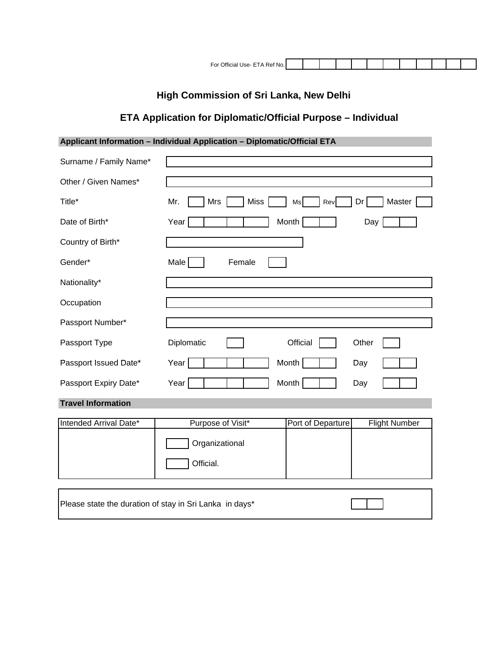| For<br>)ffic<br>ТΔ<br>No.<br>JSA-<br>R≙t<br>-<br>ын |
|-----------------------------------------------------|
|-----------------------------------------------------|

# **High Commission of Sri Lanka, New Delhi**

## **ETA Application for Diplomatic/Official Purpose – Individual**

## **Applicant Information – Individual Application – Diplomatic/Official ETA**

| Surname / Family Name*                                  |                                                                |
|---------------------------------------------------------|----------------------------------------------------------------|
| Other / Given Names*                                    |                                                                |
| Title*                                                  | Mrs<br><b>Miss</b><br>Master<br>Mr.<br>Dr<br>Ms<br>Rev         |
| Date of Birth*                                          | Month<br>Year<br>Day                                           |
| Country of Birth*                                       |                                                                |
| Gender*                                                 | Male<br>Female                                                 |
| Nationality*                                            |                                                                |
| Occupation                                              |                                                                |
| Passport Number*                                        |                                                                |
| Passport Type                                           | Diplomatic<br>Official<br>Other                                |
| Passport Issued Date*                                   | <b>Month</b><br>Year<br>Day                                    |
| Passport Expiry Date*                                   | Month<br>Year<br>Day                                           |
| <b>Travel Information</b>                               |                                                                |
| Intended Arrival Date*                                  | Purpose of Visit*<br>Port of Departure<br><b>Flight Number</b> |
|                                                         | Organizational                                                 |
|                                                         | Official.                                                      |
|                                                         |                                                                |
| Please state the duration of stay in Sri Lanka in days* |                                                                |